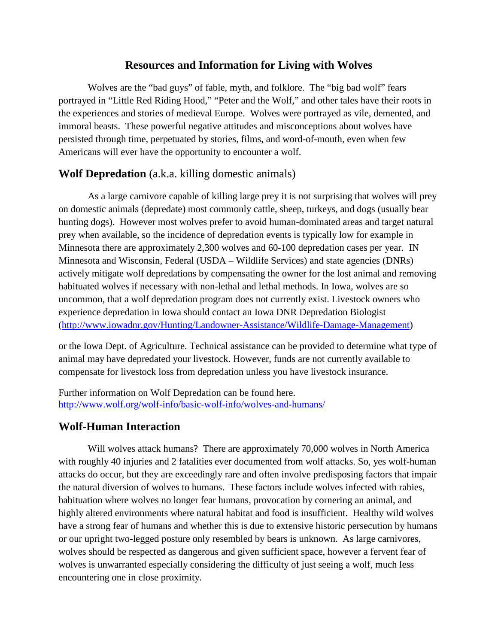## **Resources and Information for Living with Wolves**

Wolves are the "bad guys" of fable, myth, and folklore. The "big bad wolf" fears portrayed in "Little Red Riding Hood," "Peter and the Wolf," and other tales have their roots in the experiences and stories of medieval Europe. Wolves were portrayed as vile, demented, and immoral beasts. These powerful negative attitudes and misconceptions about wolves have persisted through time, perpetuated by stories, films, and word-of-mouth, even when few Americans will ever have the opportunity to encounter a wolf.

## **Wolf Depredation** (a.k.a. killing domestic animals)

As a large carnivore capable of killing large prey it is not surprising that wolves will prey on domestic animals (depredate) most commonly cattle, sheep, turkeys, and dogs (usually bear hunting dogs). However most wolves prefer to avoid human-dominated areas and target natural prey when available, so the incidence of depredation events is typically low for example in Minnesota there are approximately 2,300 wolves and 60-100 depredation cases per year. IN Minnesota and Wisconsin, Federal (USDA – Wildlife Services) and state agencies (DNRs) actively mitigate wolf depredations by compensating the owner for the lost animal and removing habituated wolves if necessary with non-lethal and lethal methods. In Iowa, wolves are so uncommon, that a wolf depredation program does not currently exist. Livestock owners who experience depredation in Iowa should contact an Iowa DNR Depredation Biologist [\(http://www.iowadnr.gov/Hunting/Landowner-Assistance/Wildlife-Damage-Management\)](http://www.iowadnr.gov/Hunting/Landowner-Assistance/Wildlife-Damage-Management)

or the Iowa Dept. of Agriculture. Technical assistance can be provided to determine what type of animal may have depredated your livestock. However, funds are not currently available to compensate for livestock loss from depredation unless you have livestock insurance.

Further information on Wolf Depredation can be found here. <http://www.wolf.org/wolf-info/basic-wolf-info/wolves-and-humans/>

## **Wolf-Human Interaction**

Will wolves attack humans? There are approximately 70,000 wolves in North America with roughly 40 injuries and 2 fatalities ever documented from wolf attacks. So, yes wolf-human attacks do occur, but they are exceedingly rare and often involve predisposing factors that impair the natural diversion of wolves to humans. These factors include wolves infected with rabies, habituation where wolves no longer fear humans, provocation by cornering an animal, and highly altered environments where natural habitat and food is insufficient. Healthy wild wolves have a strong fear of humans and whether this is due to extensive historic persecution by humans or our upright two-legged posture only resembled by bears is unknown. As large carnivores, wolves should be respected as dangerous and given sufficient space, however a fervent fear of wolves is unwarranted especially considering the difficulty of just seeing a wolf, much less encountering one in close proximity.